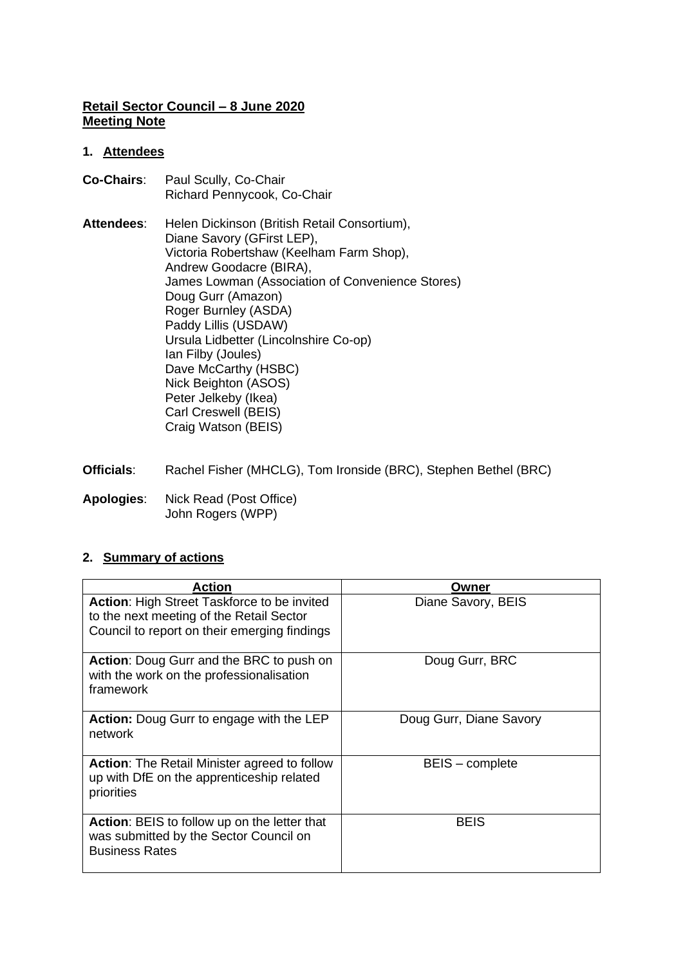# **Retail Sector Council – 8 June 2020 Meeting Note**

# **1. Attendees**

- **Co-Chairs**: Paul Scully, Co-Chair Richard Pennycook, Co-Chair
- **Attendees**: Helen Dickinson (British Retail Consortium), Diane Savory (GFirst LEP), Victoria Robertshaw (Keelham Farm Shop), Andrew Goodacre (BIRA), James Lowman (Association of Convenience Stores) Doug Gurr (Amazon) Roger Burnley (ASDA) Paddy Lillis (USDAW) Ursula Lidbetter (Lincolnshire Co-op) Ian Filby (Joules) Dave McCarthy (HSBC) Nick Beighton (ASOS) Peter Jelkeby (Ikea) Carl Creswell (BEIS) Craig Watson (BEIS)
- **Officials**: Rachel Fisher (MHCLG), Tom Ironside (BRC), Stephen Bethel (BRC)
- **Apologies**: Nick Read (Post Office) John Rogers (WPP)

### **2. Summary of actions**

| Action                                                                                                                                         | Owner                   |
|------------------------------------------------------------------------------------------------------------------------------------------------|-------------------------|
| <b>Action: High Street Taskforce to be invited</b><br>to the next meeting of the Retail Sector<br>Council to report on their emerging findings | Diane Savory, BEIS      |
| <b>Action:</b> Doug Gurr and the BRC to push on<br>with the work on the professionalisation<br>framework                                       | Doug Gurr, BRC          |
| Action: Doug Gurr to engage with the LEP<br>network                                                                                            | Doug Gurr, Diane Savory |
| <b>Action:</b> The Retail Minister agreed to follow<br>up with DfE on the apprenticeship related<br>priorities                                 | BEIS - complete         |
| <b>Action:</b> BEIS to follow up on the letter that<br>was submitted by the Sector Council on<br><b>Business Rates</b>                         | <b>BEIS</b>             |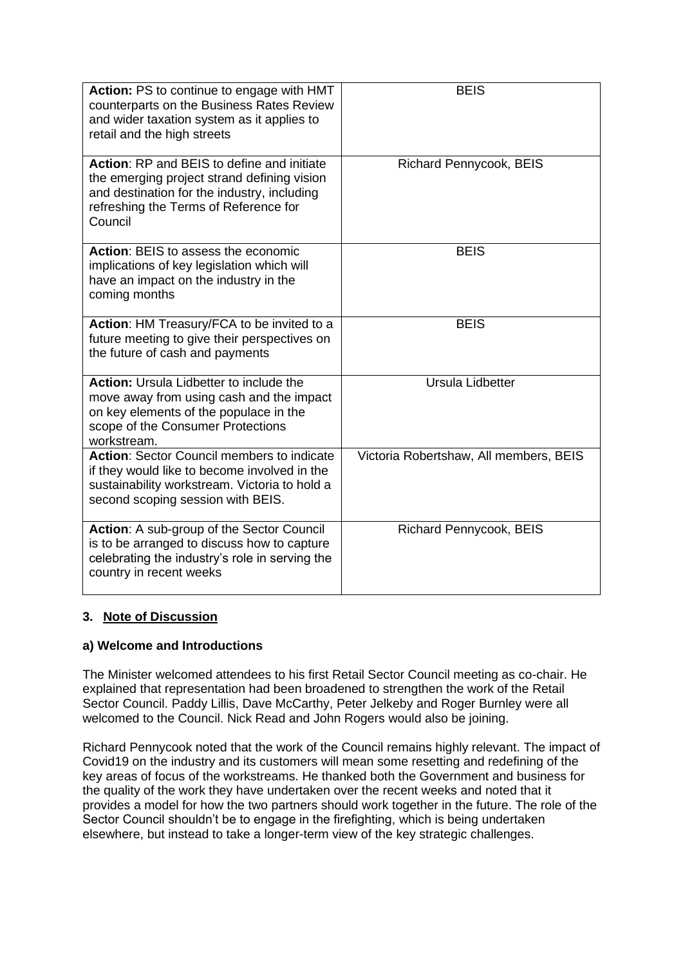| <b>Action: PS to continue to engage with HMT</b><br>counterparts on the Business Rates Review<br>and wider taxation system as it applies to<br>retail and the high streets                          | <b>BEIS</b>                            |
|-----------------------------------------------------------------------------------------------------------------------------------------------------------------------------------------------------|----------------------------------------|
| <b>Action: RP and BEIS to define and initiate</b><br>the emerging project strand defining vision<br>and destination for the industry, including<br>refreshing the Terms of Reference for<br>Council | <b>Richard Pennycook, BEIS</b>         |
| Action: BEIS to assess the economic<br>implications of key legislation which will<br>have an impact on the industry in the<br>coming months                                                         | <b>BEIS</b>                            |
| Action: HM Treasury/FCA to be invited to a<br>future meeting to give their perspectives on<br>the future of cash and payments                                                                       | <b>BEIS</b>                            |
| <b>Action:</b> Ursula Lidbetter to include the<br>move away from using cash and the impact<br>on key elements of the populace in the<br>scope of the Consumer Protections<br>workstream.            | Ursula Lidbetter                       |
| <b>Action: Sector Council members to indicate</b><br>if they would like to become involved in the<br>sustainability workstream. Victoria to hold a<br>second scoping session with BEIS.             | Victoria Robertshaw, All members, BEIS |
| Action: A sub-group of the Sector Council<br>is to be arranged to discuss how to capture<br>celebrating the industry's role in serving the<br>country in recent weeks                               | <b>Richard Pennycook, BEIS</b>         |

# **3. Note of Discussion**

### **a) Welcome and Introductions**

The Minister welcomed attendees to his first Retail Sector Council meeting as co-chair. He explained that representation had been broadened to strengthen the work of the Retail Sector Council. Paddy Lillis, Dave McCarthy, Peter Jelkeby and Roger Burnley were all welcomed to the Council. Nick Read and John Rogers would also be joining.

Richard Pennycook noted that the work of the Council remains highly relevant. The impact of Covid19 on the industry and its customers will mean some resetting and redefining of the key areas of focus of the workstreams. He thanked both the Government and business for the quality of the work they have undertaken over the recent weeks and noted that it provides a model for how the two partners should work together in the future. The role of the Sector Council shouldn't be to engage in the firefighting, which is being undertaken elsewhere, but instead to take a longer-term view of the key strategic challenges.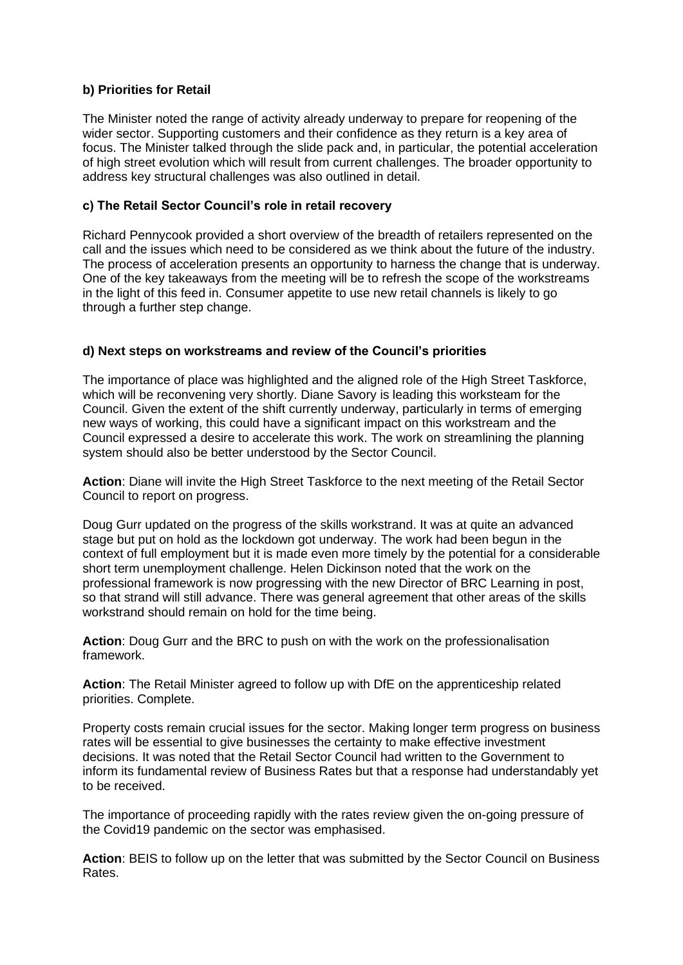### **b) Priorities for Retail**

The Minister noted the range of activity already underway to prepare for reopening of the wider sector. Supporting customers and their confidence as they return is a key area of focus. The Minister talked through the slide pack and, in particular, the potential acceleration of high street evolution which will result from current challenges. The broader opportunity to address key structural challenges was also outlined in detail.

#### **c) The Retail Sector Council's role in retail recovery**

Richard Pennycook provided a short overview of the breadth of retailers represented on the call and the issues which need to be considered as we think about the future of the industry. The process of acceleration presents an opportunity to harness the change that is underway. One of the key takeaways from the meeting will be to refresh the scope of the workstreams in the light of this feed in. Consumer appetite to use new retail channels is likely to go through a further step change.

### **d) Next steps on workstreams and review of the Council's priorities**

The importance of place was highlighted and the aligned role of the High Street Taskforce, which will be reconvening very shortly. Diane Savory is leading this worksteam for the Council. Given the extent of the shift currently underway, particularly in terms of emerging new ways of working, this could have a significant impact on this workstream and the Council expressed a desire to accelerate this work. The work on streamlining the planning system should also be better understood by the Sector Council.

**Action**: Diane will invite the High Street Taskforce to the next meeting of the Retail Sector Council to report on progress.

Doug Gurr updated on the progress of the skills workstrand. It was at quite an advanced stage but put on hold as the lockdown got underway. The work had been begun in the context of full employment but it is made even more timely by the potential for a considerable short term unemployment challenge. Helen Dickinson noted that the work on the professional framework is now progressing with the new Director of BRC Learning in post, so that strand will still advance. There was general agreement that other areas of the skills workstrand should remain on hold for the time being.

**Action**: Doug Gurr and the BRC to push on with the work on the professionalisation framework.

**Action**: The Retail Minister agreed to follow up with DfE on the apprenticeship related priorities. Complete.

Property costs remain crucial issues for the sector. Making longer term progress on business rates will be essential to give businesses the certainty to make effective investment decisions. It was noted that the Retail Sector Council had written to the Government to inform its fundamental review of Business Rates but that a response had understandably yet to be received.

The importance of proceeding rapidly with the rates review given the on-going pressure of the Covid19 pandemic on the sector was emphasised.

**Action**: BEIS to follow up on the letter that was submitted by the Sector Council on Business Rates.